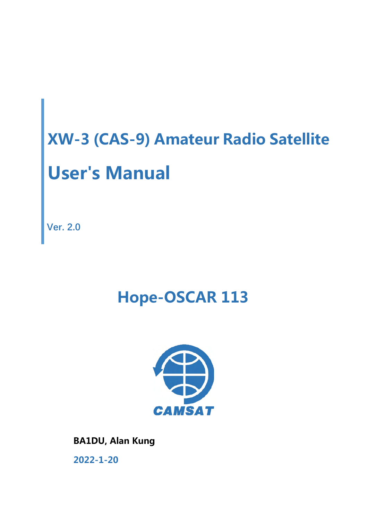**Ver. 2.0**

## **Hope-OSCAR 113**



 **BA1DU, Alan Kung 2022-1-20**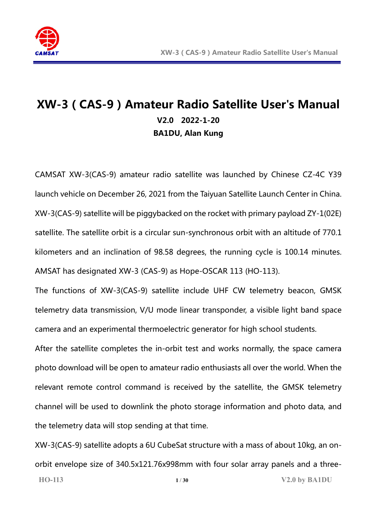

## **XW-3(CAS-9)Amateur Radio Satellite User's Manual V2.0 2022-1-20 BA1DU, Alan Kung**

CAMSAT XW-3(CAS-9) amateur radio satellite was launched by Chinese CZ-4C Y39 launch vehicle on December 26, 2021 from the Taiyuan Satellite Launch Center in China. XW-3(CAS-9) satellite will be piggybacked on the rocket with primary payload ZY-1(02E) satellite. The satellite orbit is a circular sun-synchronous orbit with an altitude of 770.1 kilometers and an inclination of 98.58 degrees, the running cycle is 100.14 minutes. AMSAT has designated XW-3 (CAS-9) as Hope-OSCAR 113 (HO-113).

The functions of XW-3(CAS-9) satellite include UHF CW telemetry beacon, GMSK telemetry data transmission, V/U mode linear transponder, a visible light band space camera and an experimental thermoelectric generator for high school students.

After the satellite completes the in-orbit test and works normally, the space camera photo download will be open to amateur radio enthusiasts all over the world. When the relevant remote control command is received by the satellite, the GMSK telemetry channel will be used to downlink the photo storage information and photo data, and the telemetry data will stop sending at that time.

**HO-113 1** / **30 V2.0 by BA1DU** XW-3(CAS-9) satellite adopts a 6U CubeSat structure with a mass of about 10kg, an onorbit envelope size of 340.5x121.76x998mm with four solar array panels and a three-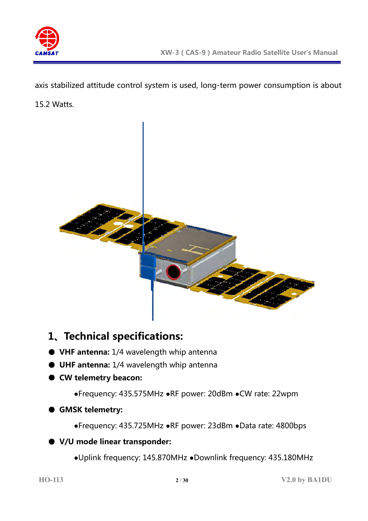

axis stabilized attitude control system is used, long-term power consumption is about 15.2 Watts.



## **1、Technical specifications:**

- **VHF antenna:** 1/4 wavelength whip antenna
- **UHF antenna:** 1/4 wavelength whip antenna
- **CW telemetry beacon:**
	- **●**Frequency: 435.575MHz **●**RF power: 20dBm **●**CW rate: 22wpm

#### ● **GMSK telemetry:**

**●**Frequency: 435.725MHz **●**RF power: 23dBm **●**Data rate: 4800bps

#### ● **V/U mode linear transponder:**

**●**Uplink frequency: 145.870MHz **●**Downlink frequency: 435.180MHz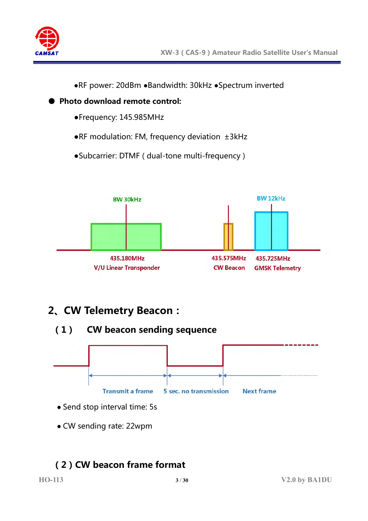

**●**RF power: 20dBm **●**Bandwidth: 30kHz **●**Spectrum inverted

- **Photo download remote control:**
	- **●**Frequency: 145.985MHz
	- **●**RF modulation: FM, frequency deviation ±3kHz
	- **●**Subcarrier: DTMF ( dual-tone multi-frequency )



## **2、CW Telemetry Beacon:**





- Send stop interval time: 5s
- CW sending rate: 22wpm

## **(2)CW beacon frame format**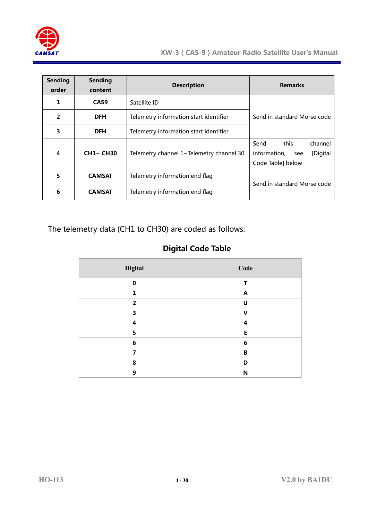

| <b>Sending</b><br>order | <b>Sending</b><br>content                                    | <b>Description</b>                     | <b>Remarks</b>                                                                  |  |
|-------------------------|--------------------------------------------------------------|----------------------------------------|---------------------------------------------------------------------------------|--|
| 1                       | CAS <sub>9</sub>                                             | Satellite ID                           |                                                                                 |  |
| $\overline{2}$          | <b>DFH</b>                                                   | Telemetry information start identifier | Send in standard Morse code                                                     |  |
| 3                       | <b>DFH</b>                                                   | Telemetry information start identifier |                                                                                 |  |
| 4                       | <b>CH1~ CH30</b><br>Telemetry channel 1~Telemetry channel 30 |                                        | this<br>Send<br>channel<br>information,<br>[Digital<br>see<br>Code Table] below |  |
| 5                       | <b>CAMSAT</b>                                                | Telemetry information end flag         |                                                                                 |  |
| 6                       | <b>CAMSAT</b>                                                | Telemetry information end flag         | Send in standard Morse code                                                     |  |

The telemetry data (CH1 to CH30) are coded as follows:

#### **Digital Code Table**

| <b>Digital</b> | Code                      |
|----------------|---------------------------|
| $\Omega$       | т                         |
| 1              | $\boldsymbol{\mathsf{A}}$ |
| $\overline{2}$ | U                         |
| 3              | v                         |
| 4              | 4                         |
| 5              | E                         |
| 6              | 6                         |
| 7              | B                         |
| 8              | D                         |
| 9              | N                         |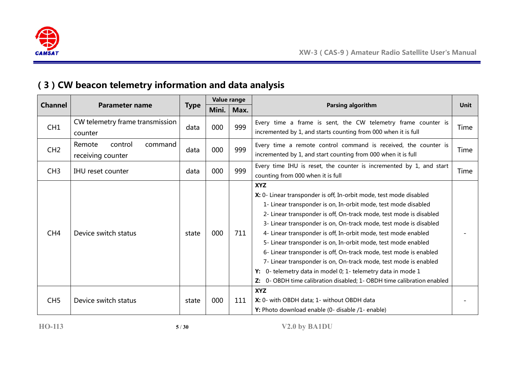

## **(3)CW beacon telemetry information and data analysis**

|                 |                                                   |             | Value range |      |                                                                                                                                                                                                                                                                                                                                                                                                                                                                                                                                                                                                                                                                                                                        |      |
|-----------------|---------------------------------------------------|-------------|-------------|------|------------------------------------------------------------------------------------------------------------------------------------------------------------------------------------------------------------------------------------------------------------------------------------------------------------------------------------------------------------------------------------------------------------------------------------------------------------------------------------------------------------------------------------------------------------------------------------------------------------------------------------------------------------------------------------------------------------------------|------|
| <b>Channel</b>  | <b>Parameter name</b>                             | <b>Type</b> | Mini.       | Max. | Parsing algorithm                                                                                                                                                                                                                                                                                                                                                                                                                                                                                                                                                                                                                                                                                                      | Unit |
| CH1             | CW telemetry frame transmission<br>counter        | data        | 000         | 999  | Every time a frame is sent, the CW telemetry frame counter is<br>incremented by 1, and starts counting from 000 when it is full                                                                                                                                                                                                                                                                                                                                                                                                                                                                                                                                                                                        | Time |
| CH2             | Remote<br>control<br>command<br>receiving counter | data        | 000         | 999  | Every time a remote control command is received, the counter is<br>incremented by 1, and start counting from 000 when it is full                                                                                                                                                                                                                                                                                                                                                                                                                                                                                                                                                                                       | Time |
| CH3             | <b>IHU</b> reset counter                          | data        | 000         | 999  | Every time IHU is reset, the counter is incremented by 1, and start<br>counting from 000 when it is full                                                                                                                                                                                                                                                                                                                                                                                                                                                                                                                                                                                                               | Time |
| CH <sub>4</sub> | Device switch status                              | state       | 000         | 711  | <b>XYZ</b><br>X: 0- Linear transponder is off, In-orbit mode, test mode disabled<br>1- Linear transponder is on, In-orbit mode, test mode disabled<br>2- Linear transponder is off, On-track mode, test mode is disabled<br>3- Linear transponder is on, On-track mode, test mode is disabled<br>4- Linear transponder is off, In-orbit mode, test mode enabled<br>5- Linear transponder is on, In-orbit mode, test mode enabled<br>6- Linear transponder is off, On-track mode, test mode is enabled<br>7- Linear transponder is on, On-track mode, test mode is enabled<br>0- telemetry data in model 0; 1- telemetry data in mode 1<br>Y:<br>Z: 0- OBDH time calibration disabled; 1- OBDH time calibration enabled |      |
| CH <sub>5</sub> | Device switch status                              | state       | 000         | 111  | <b>XYZ</b><br>X: 0- with OBDH data; 1- without OBDH data<br>Y: Photo download enable (0- disable /1- enable)                                                                                                                                                                                                                                                                                                                                                                                                                                                                                                                                                                                                           |      |

**HO-113 5** / **30 V2.0 by BA1DU**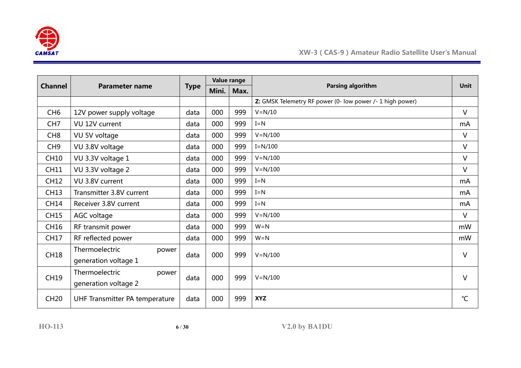

| <b>Channel</b>  | <b>Parameter name</b>          |             | Value range |      |                                                           |                 |
|-----------------|--------------------------------|-------------|-------------|------|-----------------------------------------------------------|-----------------|
|                 |                                | <b>Type</b> | Mini.       | Max. | Parsing algorithm                                         | <b>Unit</b>     |
|                 |                                |             |             |      | Z: GMSK Telemetry RF power (0- low power /- 1 high power) |                 |
| CH <sub>6</sub> | 12V power supply voltage       | data        | 000         | 999  | $V = N/10$                                                | $\vee$          |
| CH <sub>7</sub> | VU 12V current                 | data        | 000         | 999  | $I = N$                                                   | mA              |
| CH <sub>8</sub> | VU 5V voltage                  | data        | 000         | 999  | $V = N/100$                                               | $\vee$          |
| CH <sub>9</sub> | VU 3.8V voltage                | data        | 000         | 999  | $I=N/100$                                                 | $\vee$          |
| <b>CH10</b>     | VU 3.3V voltage 1              | data        | 000         | 999  | $V = N/100$                                               | $\vee$          |
| <b>CH11</b>     | VU 3.3V voltage 2              | data        | 000         | 999  | $V = N/100$                                               | $\vee$          |
| <b>CH12</b>     | VU 3.8V current                | data        | 000         | 999  | $I = N$                                                   | mA              |
| <b>CH13</b>     | Transmitter 3.8V current       | data        | 000         | 999  | $I = N$                                                   | mA              |
| <b>CH14</b>     | Receiver 3.8V current          | data        | 000         | 999  | $I = N$                                                   | mA              |
| <b>CH15</b>     | AGC voltage                    | data        | 000         | 999  | $V = N/100$                                               | $\vee$          |
| CH16            | RF transmit power              | data        | 000         | 999  | $W = N$                                                   | mW              |
| <b>CH17</b>     | RF reflected power             | data        | 000         | 999  | $W = N$                                                   | mW              |
| <b>CH18</b>     | Thermoelectric<br>power        | data        | 000         | 999  | $V = N/100$                                               | V               |
|                 | generation voltage 1           |             |             |      |                                                           |                 |
| <b>CH19</b>     | Thermoelectric<br>power        |             | 000         | 999  | $V = N/100$                                               | $\vee$          |
|                 | generation voltage 2           | data        |             |      |                                                           |                 |
| <b>CH20</b>     | UHF Transmitter PA temperature | data        | 000         | 999  | <b>XYZ</b>                                                | $\rm ^{\circ}C$ |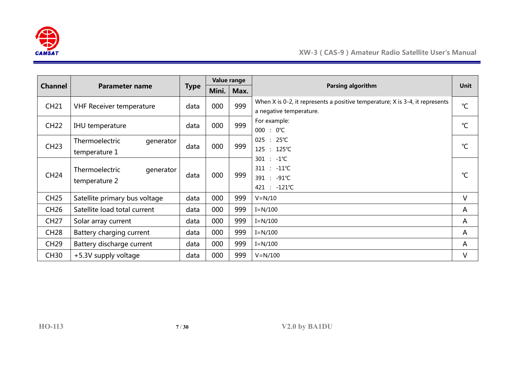

|             | <b>Channel</b><br><b>Parameter name</b>      |      | Value range<br><b>Type</b> |      |                                                                                                         |               |
|-------------|----------------------------------------------|------|----------------------------|------|---------------------------------------------------------------------------------------------------------|---------------|
|             |                                              |      | Mini.                      | Max. | Parsing algorithm                                                                                       | <b>Unit</b>   |
| <b>CH21</b> | <b>VHF Receiver temperature</b>              | data | 000                        | 999  | When X is 0-2, it represents a positive temperature; X is 3-4, it represents<br>a negative temperature. | $^{\circ}C$   |
| <b>CH22</b> | IHU temperature                              | data | 000                        | 999  | For example:<br>$000 : 0^{\circ}C$                                                                      | $^{\circ}C$   |
| <b>CH23</b> | Thermoelectric<br>generator<br>temperature 1 | data | 000                        | 999  | $025 : 25^{\circ}C$<br>125 : 125℃                                                                       | $\mathcal{C}$ |
| <b>CH24</b> | Thermoelectric<br>generator<br>temperature 2 | data | 000                        | 999  | $301 : -1^{\circ}C$<br>$311 : -11^{\circ}C$<br>391 : -91℃<br>421 : -121℃                                | $^{\circ}C$   |
| <b>CH25</b> | Satellite primary bus voltage                | data | 000                        | 999  | $V = N/10$                                                                                              | V             |
| <b>CH26</b> | Satellite load total current                 | data | 000                        | 999  | $I = N/100$                                                                                             | A             |
| <b>CH27</b> | Solar array current                          | data | 000                        | 999  | $I=N/100$                                                                                               | A             |
| <b>CH28</b> | Battery charging current                     | data | 000                        | 999  | $I=N/100$                                                                                               | A             |
| <b>CH29</b> | Battery discharge current                    | data | 000                        | 999  | $I = N/100$                                                                                             | A             |
| <b>CH30</b> | +5.3V supply voltage                         | data | 000                        | 999  | $V = N/100$                                                                                             | V             |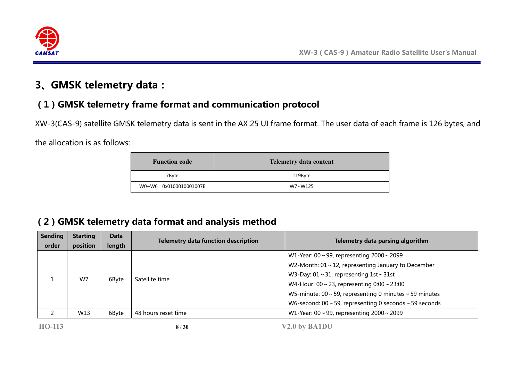

## **3、GMSK telemetry data:**

## **(1)GMSK telemetry frame format and communication protocol**

XW-3(CAS-9) satellite GMSK telemetry data is sent in the AX.25 UI frame format. The user data of each frame is 126 bytes, and

the allocation is as follows:

| <b>Function code</b>   | <b>Telemetry data content</b> |
|------------------------|-------------------------------|
| 7Byte                  | 119Byte                       |
| W0~W6:0x0100010001007E | W7~W125                       |

## **(2)GMSK telemetry data format and analysis method**

| <b>Sending</b><br>order | <b>Starting</b><br>position | <b>Data</b><br>length | <b>Telemetry data function description</b> | Telemetry data parsing algorithm                                   |
|-------------------------|-----------------------------|-----------------------|--------------------------------------------|--------------------------------------------------------------------|
|                         |                             |                       |                                            | W1-Year: $00 \sim 99$ , representing $2000 \sim 2099$              |
|                         |                             |                       | Satellite time                             | W2-Month: $01 \sim 12$ , representing January to December          |
|                         | W7                          | 6Byte                 |                                            | W3-Day: $01 \sim 31$ , representing $1st \sim 31st$                |
|                         |                             |                       |                                            | W4-Hour: $00 \sim 23$ , representing $0:00 \sim 23:00$             |
|                         |                             |                       |                                            | W5-minute: $00 \sim 59$ , representing 0 minutes $\sim 59$ minutes |
|                         |                             |                       |                                            | W6-second: $00 \sim 59$ , representing 0 seconds $\sim 59$ seconds |
|                         | W13                         | 6Byte                 | 48 hours reset time                        | W1-Year: $00 \sim 99$ , representing $2000 \sim 2099$              |
|                         |                             |                       |                                            |                                                                    |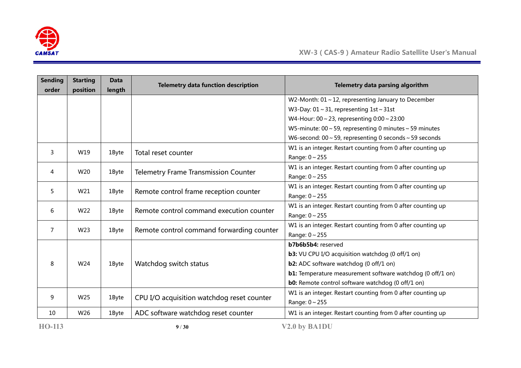

| <b>Sending</b> | <b>Starting</b> | <b>Data</b> | <b>Telemetry data function description</b>  | Telemetry data parsing algorithm                                   |
|----------------|-----------------|-------------|---------------------------------------------|--------------------------------------------------------------------|
| order          | position        | length      |                                             |                                                                    |
|                |                 |             |                                             | W2-Month: $01 \sim 12$ , representing January to December          |
|                |                 |             |                                             | W3-Day: $01 \sim 31$ , representing $1st \sim 31st$                |
|                |                 |             |                                             | W4-Hour: $00 \sim 23$ , representing $0:00 \sim 23:00$             |
|                |                 |             |                                             | W5-minute: $00 \sim 59$ , representing 0 minutes $\sim 59$ minutes |
|                |                 |             |                                             | W6-second: $00 \sim 59$ , representing 0 seconds $\sim 59$ seconds |
|                |                 |             |                                             | W1 is an integer. Restart counting from 0 after counting up        |
| 3              | W19             | 1Byte       | Total reset counter                         | Range: $0 \sim 255$                                                |
|                |                 |             |                                             | W1 is an integer. Restart counting from 0 after counting up        |
| 4              | W20             | 1Byte       | <b>Telemetry Frame Transmission Counter</b> | Range: 0~255                                                       |
|                |                 |             |                                             | W1 is an integer. Restart counting from 0 after counting up        |
| 5              | W21             | 1Byte       | Remote control frame reception counter      | Range: $0 \sim 255$                                                |
|                |                 |             |                                             | W1 is an integer. Restart counting from 0 after counting up        |
| 6              | W22             | 1Byte       | Remote control command execution counter    | Range: $0 \sim 255$                                                |
| 7              |                 |             |                                             | W1 is an integer. Restart counting from 0 after counting up        |
|                | W23             | 1Byte       | Remote control command forwarding counter   | Range: 0~255                                                       |
|                |                 |             |                                             | b7b6b5b4: reserved                                                 |
|                |                 |             |                                             | <b>b3:</b> VU CPU I/O acquisition watchdog (0 off/1 on)            |
| 8              | W24             | 1Byte       | Watchdog switch status                      | <b>b2:</b> ADC software watchdog (0 off/1 on)                      |
|                |                 |             |                                             | <b>b1:</b> Temperature measurement software watchdog (0 off/1 on)  |
|                |                 |             |                                             | <b>b0:</b> Remote control software watchdog (0 off/1 on)           |
|                |                 |             |                                             | W1 is an integer. Restart counting from 0 after counting up        |
| 9              | W25             | 1Byte       | CPU I/O acquisition watchdog reset counter  | Range: $0 \sim 255$                                                |
| 10             | W26             | 1Byte       | ADC software watchdog reset counter         | W1 is an integer. Restart counting from 0 after counting up        |
| <b>HO-113</b>  |                 |             | 9/30                                        | V2.0 by BA1DU                                                      |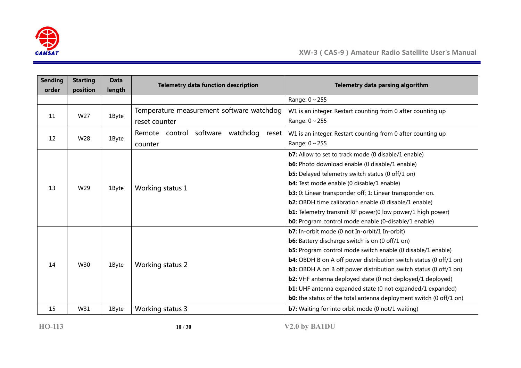

| <b>Sending</b><br>order | <b>Starting</b><br>position | <b>Data</b><br>length | <b>Telemetry data function description</b>      | Telemetry data parsing algorithm                                          |
|-------------------------|-----------------------------|-----------------------|-------------------------------------------------|---------------------------------------------------------------------------|
|                         |                             |                       |                                                 | Range: $0 \sim 255$                                                       |
| 11                      | W27                         | 1Byte                 | Temperature measurement software watchdog       | W1 is an integer. Restart counting from 0 after counting up               |
|                         |                             |                       | reset counter                                   | Range: $0 \sim 255$                                                       |
| 12                      | W28                         | 1Byte                 | software<br>watchdog<br>Remote control<br>reset | W1 is an integer. Restart counting from 0 after counting up               |
|                         |                             |                       | counter                                         | Range: $0 \sim 255$                                                       |
|                         |                             |                       |                                                 | <b>b7:</b> Allow to set to track mode (0 disable/1 enable)                |
|                         |                             |                       |                                                 | b6: Photo download enable (0 disable/1 enable)                            |
|                         |                             | 1Byte                 | Working status 1                                | <b>b5:</b> Delayed telemetry switch status (0 off/1 on)                   |
| 13                      | W29                         |                       |                                                 | <b>b4:</b> Test mode enable (0 disable/1 enable)                          |
|                         |                             |                       |                                                 | b3: 0: Linear transponder off; 1: Linear transponder on.                  |
|                         |                             |                       |                                                 | <b>b2:</b> OBDH time calibration enable (0 disable/1 enable)              |
|                         |                             |                       |                                                 | <b>b1:</b> Telemetry transmit RF power(0 low power/1 high power)          |
|                         |                             |                       |                                                 | <b>b0:</b> Program control mode enable (0-disable/1 enable)               |
|                         |                             |                       |                                                 | b7: In-orbit mode (0 not In-orbit/1 In-orbit)                             |
|                         |                             |                       |                                                 | <b>b6:</b> Battery discharge switch is on (0 off/1 on)                    |
|                         |                             |                       |                                                 | <b>b5:</b> Program control mode switch enable (0 disable/1 enable)        |
| 14                      | W30                         | 1Byte                 |                                                 | <b>b4:</b> OBDH B on A off power distribution switch status (0 off/1 on)  |
|                         |                             |                       | Working status 2                                | <b>b3:</b> OBDH A on B off power distribution switch status (0 off/1 on)  |
|                         |                             |                       |                                                 | b2: VHF antenna deployed state (0 not deployed/1 deployed)                |
|                         |                             |                       |                                                 | <b>b1:</b> UHF antenna expanded state (0 not expanded/1 expanded)         |
|                         |                             |                       |                                                 | <b>b0:</b> the status of the total antenna deployment switch (0 off/1 on) |
| 15                      | W31                         | 1Byte                 | Working status 3                                | <b>b7:</b> Waiting for into orbit mode (0 not/1 waiting)                  |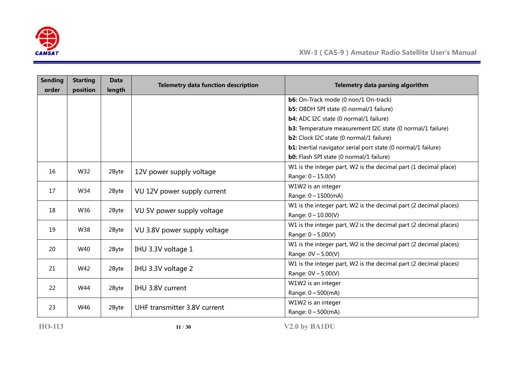

| <b>Sending</b><br>order | <b>Starting</b><br>position | <b>Data</b><br>length | <b>Telemetry data function description</b> | Telemetry data parsing algorithm                                     |
|-------------------------|-----------------------------|-----------------------|--------------------------------------------|----------------------------------------------------------------------|
|                         |                             |                       |                                            | <b>b6:</b> On-Track mode (0 non/1 On-track)                          |
|                         |                             |                       |                                            | <b>b5:</b> OBDH SPI state (0 normal/1 failure)                       |
|                         |                             |                       |                                            | b4: ADC I2C state (0 normal/1 failure)                               |
|                         |                             |                       |                                            | b3: Temperature measurement I2C state (0 normal/1 failure)           |
|                         |                             |                       |                                            | <b>b2:</b> Clock I2C state (0 normal/1 failure)                      |
|                         |                             |                       |                                            | <b>b1:</b> Inertial navigator serial port state (0 normal/1 failure) |
|                         |                             |                       |                                            | <b>b0:</b> Flash SPI state (0 normal/1 failure)                      |
| 16                      | W32                         | 2Byte                 | 12V power supply voltage                   | W1 is the integer part, W2 is the decimal part (1 decimal place)     |
|                         |                             |                       |                                            | Range: $0 \sim 15.0(V)$                                              |
| 17                      | W34                         | 2Byte                 | VU 12V power supply current                | W1W2 is an integer                                                   |
|                         |                             |                       |                                            | Range: 0~1500(mA)                                                    |
| 18                      | W36                         | 2Byte                 | VU 5V power supply voltage                 | W1 is the integer part, W2 is the decimal part (2 decimal places)    |
|                         |                             |                       |                                            | Range: $0 \sim 10.00(V)$                                             |
| 19                      | W38                         | 2Byte                 | VU 3.8V power supply voltage               | W1 is the integer part, W2 is the decimal part (2 decimal places)    |
|                         |                             |                       |                                            | Range: $0 \sim 5.00(V)$                                              |
| 20                      | W40                         | 2Byte                 | IHU 3.3V voltage 1                         | W1 is the integer part, W2 is the decimal part (2 decimal places)    |
|                         |                             |                       |                                            | Range: $0V \sim 5.00(V)$                                             |
| 21                      | W42                         | 2Byte                 | IHU 3.3V voltage 2                         | W1 is the integer part, W2 is the decimal part (2 decimal places)    |
|                         |                             |                       |                                            | Range: $0V \sim 5.00(V)$                                             |
| 22                      | W44                         | 2Byte                 | IHU 3.8V current                           | W1W2 is an integer                                                   |
|                         |                             |                       |                                            | Range: $0 \sim 500$ (mA)                                             |
| 23                      | W46                         |                       | UHF transmitter 3.8V current               | W1W2 is an integer                                                   |
|                         |                             | 2Byte                 |                                            | Range: $0 \sim 500$ (mA)                                             |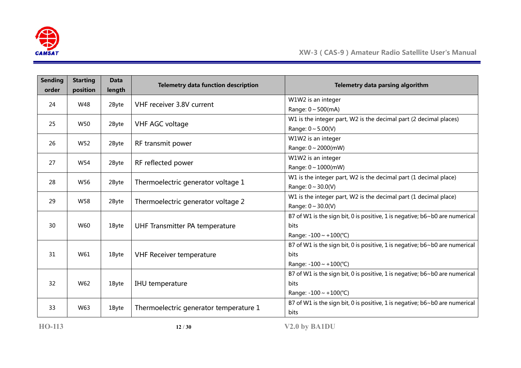

| W1W2 is an integer<br>VHF receiver 3.8V current<br>24<br>W48<br>2Byte<br>Range: $0 \sim 500$ (mA)<br>W1 is the integer part, W2 is the decimal part (2 decimal places)<br>25<br>W50<br>VHF AGC voltage<br>2Byte<br>Range: $0 \sim 5.00(V)$<br>W1W2 is an integer<br>RF transmit power<br>26<br>W <sub>52</sub><br>2Byte<br>Range: $0 \sim 2000$ (mW)<br>W1W2 is an integer<br>RF reflected power<br>27<br>W54<br>2Byte<br>Range: $0 \sim 1000$ (mW)<br>W1 is the integer part, W2 is the decimal part (1 decimal place)<br>Thermoelectric generator voltage 1<br>28<br>W56<br>2Byte<br>Range: $0 \sim 30.0(V)$<br>W1 is the integer part, W2 is the decimal part (1 decimal place)<br>Thermoelectric generator voltage 2<br>29<br>W <sub>58</sub><br>2Byte<br>Range: $0 \sim 30.0(V)$<br>30<br>W60<br>UHF Transmitter PA temperature<br>1Byte<br><b>bits</b><br>Range: $-100 \sim +100$ (°C)<br>31<br>W61<br><b>VHF Receiver temperature</b><br><b>bits</b><br>1Byte<br>Range: $-100 \sim +100$ (°C)<br>32<br>W62<br>IHU temperature<br>1Byte<br>bits<br>Range: $-100 \sim +100$ (°C)<br>B7 of W1 is the sign bit, 0 is positive, 1 is negative; b6~b0 are numerical<br>W63<br>Thermoelectric generator temperature 1<br>33<br>1Byte | <b>Sending</b> | <b>Starting</b> | <b>Data</b> | <b>Telemetry data function description</b> | Telemetry data parsing algorithm                                            |
|--------------------------------------------------------------------------------------------------------------------------------------------------------------------------------------------------------------------------------------------------------------------------------------------------------------------------------------------------------------------------------------------------------------------------------------------------------------------------------------------------------------------------------------------------------------------------------------------------------------------------------------------------------------------------------------------------------------------------------------------------------------------------------------------------------------------------------------------------------------------------------------------------------------------------------------------------------------------------------------------------------------------------------------------------------------------------------------------------------------------------------------------------------------------------------------------------------------------------------------|----------------|-----------------|-------------|--------------------------------------------|-----------------------------------------------------------------------------|
|                                                                                                                                                                                                                                                                                                                                                                                                                                                                                                                                                                                                                                                                                                                                                                                                                                                                                                                                                                                                                                                                                                                                                                                                                                      | order          | position        | length      |                                            |                                                                             |
|                                                                                                                                                                                                                                                                                                                                                                                                                                                                                                                                                                                                                                                                                                                                                                                                                                                                                                                                                                                                                                                                                                                                                                                                                                      |                |                 |             |                                            |                                                                             |
|                                                                                                                                                                                                                                                                                                                                                                                                                                                                                                                                                                                                                                                                                                                                                                                                                                                                                                                                                                                                                                                                                                                                                                                                                                      |                |                 |             |                                            |                                                                             |
|                                                                                                                                                                                                                                                                                                                                                                                                                                                                                                                                                                                                                                                                                                                                                                                                                                                                                                                                                                                                                                                                                                                                                                                                                                      |                |                 |             |                                            |                                                                             |
|                                                                                                                                                                                                                                                                                                                                                                                                                                                                                                                                                                                                                                                                                                                                                                                                                                                                                                                                                                                                                                                                                                                                                                                                                                      |                |                 |             |                                            |                                                                             |
|                                                                                                                                                                                                                                                                                                                                                                                                                                                                                                                                                                                                                                                                                                                                                                                                                                                                                                                                                                                                                                                                                                                                                                                                                                      |                |                 |             |                                            |                                                                             |
|                                                                                                                                                                                                                                                                                                                                                                                                                                                                                                                                                                                                                                                                                                                                                                                                                                                                                                                                                                                                                                                                                                                                                                                                                                      |                |                 |             |                                            |                                                                             |
|                                                                                                                                                                                                                                                                                                                                                                                                                                                                                                                                                                                                                                                                                                                                                                                                                                                                                                                                                                                                                                                                                                                                                                                                                                      |                |                 |             |                                            |                                                                             |
|                                                                                                                                                                                                                                                                                                                                                                                                                                                                                                                                                                                                                                                                                                                                                                                                                                                                                                                                                                                                                                                                                                                                                                                                                                      |                |                 |             |                                            |                                                                             |
|                                                                                                                                                                                                                                                                                                                                                                                                                                                                                                                                                                                                                                                                                                                                                                                                                                                                                                                                                                                                                                                                                                                                                                                                                                      |                |                 |             |                                            |                                                                             |
|                                                                                                                                                                                                                                                                                                                                                                                                                                                                                                                                                                                                                                                                                                                                                                                                                                                                                                                                                                                                                                                                                                                                                                                                                                      |                |                 |             |                                            |                                                                             |
|                                                                                                                                                                                                                                                                                                                                                                                                                                                                                                                                                                                                                                                                                                                                                                                                                                                                                                                                                                                                                                                                                                                                                                                                                                      |                |                 |             |                                            |                                                                             |
|                                                                                                                                                                                                                                                                                                                                                                                                                                                                                                                                                                                                                                                                                                                                                                                                                                                                                                                                                                                                                                                                                                                                                                                                                                      |                |                 |             |                                            |                                                                             |
|                                                                                                                                                                                                                                                                                                                                                                                                                                                                                                                                                                                                                                                                                                                                                                                                                                                                                                                                                                                                                                                                                                                                                                                                                                      |                |                 |             |                                            | B7 of W1 is the sign bit, 0 is positive, 1 is negative; b6~b0 are numerical |
|                                                                                                                                                                                                                                                                                                                                                                                                                                                                                                                                                                                                                                                                                                                                                                                                                                                                                                                                                                                                                                                                                                                                                                                                                                      |                |                 |             |                                            |                                                                             |
|                                                                                                                                                                                                                                                                                                                                                                                                                                                                                                                                                                                                                                                                                                                                                                                                                                                                                                                                                                                                                                                                                                                                                                                                                                      |                |                 |             |                                            |                                                                             |
|                                                                                                                                                                                                                                                                                                                                                                                                                                                                                                                                                                                                                                                                                                                                                                                                                                                                                                                                                                                                                                                                                                                                                                                                                                      |                |                 |             |                                            | B7 of W1 is the sign bit, 0 is positive, 1 is negative; b6~b0 are numerical |
|                                                                                                                                                                                                                                                                                                                                                                                                                                                                                                                                                                                                                                                                                                                                                                                                                                                                                                                                                                                                                                                                                                                                                                                                                                      |                |                 |             |                                            |                                                                             |
|                                                                                                                                                                                                                                                                                                                                                                                                                                                                                                                                                                                                                                                                                                                                                                                                                                                                                                                                                                                                                                                                                                                                                                                                                                      |                |                 |             |                                            |                                                                             |
|                                                                                                                                                                                                                                                                                                                                                                                                                                                                                                                                                                                                                                                                                                                                                                                                                                                                                                                                                                                                                                                                                                                                                                                                                                      |                |                 |             |                                            | B7 of W1 is the sign bit, 0 is positive, 1 is negative; b6~b0 are numerical |
|                                                                                                                                                                                                                                                                                                                                                                                                                                                                                                                                                                                                                                                                                                                                                                                                                                                                                                                                                                                                                                                                                                                                                                                                                                      |                |                 |             |                                            |                                                                             |
|                                                                                                                                                                                                                                                                                                                                                                                                                                                                                                                                                                                                                                                                                                                                                                                                                                                                                                                                                                                                                                                                                                                                                                                                                                      |                |                 |             |                                            |                                                                             |
|                                                                                                                                                                                                                                                                                                                                                                                                                                                                                                                                                                                                                                                                                                                                                                                                                                                                                                                                                                                                                                                                                                                                                                                                                                      |                |                 |             |                                            |                                                                             |
|                                                                                                                                                                                                                                                                                                                                                                                                                                                                                                                                                                                                                                                                                                                                                                                                                                                                                                                                                                                                                                                                                                                                                                                                                                      |                |                 |             |                                            | bits                                                                        |

**HO-113 12** / **30 V2.0 by BA1DU**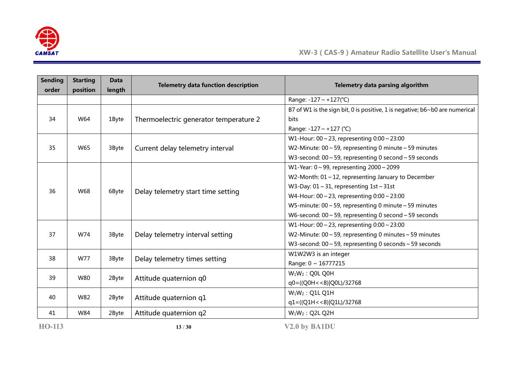

| <b>Sending</b> | <b>Starting</b> | <b>Data</b> | <b>Telemetry data function description</b> | Telemetry data parsing algorithm                                                   |
|----------------|-----------------|-------------|--------------------------------------------|------------------------------------------------------------------------------------|
| order          | position        | length      |                                            |                                                                                    |
|                |                 |             |                                            | Range: -127 ~ +127(°C)                                                             |
|                |                 |             |                                            | B7 of W1 is the sign bit, 0 is positive, 1 is negative; $b6 \sim b0$ are numerical |
| 34             | W64             | 1Byte       | Thermoelectric generator temperature 2     | bits                                                                               |
|                |                 |             |                                            | Range: -127 ~ +127 (°C)                                                            |
|                |                 |             |                                            | W1-Hour: $00 \sim 23$ , representing $0:00 \sim 23:00$                             |
| 35             | W65             | 3Byte       | Current delay telemetry interval           | W2-Minute: 00 $\sim$ 59, representing 0 minute $\sim$ 59 minutes                   |
|                |                 |             |                                            | W3-second: $00 \sim 59$ , representing 0 second $\sim 59$ seconds                  |
|                |                 |             |                                            | W1-Year: $0 \sim 99$ , representing $2000 \sim 2099$                               |
|                |                 | 6Byte       | Delay telemetry start time setting         | W2-Month: $01 \sim 12$ , representing January to December                          |
| 36             | W68             |             |                                            | W3-Day: $01 \sim 31$ , representing $1st \sim 31st$                                |
|                |                 |             |                                            | W4-Hour: $00 \sim 23$ , representing $0:00 \sim 23:00$                             |
|                |                 |             |                                            | W5-minute: $00 \sim 59$ , representing 0 minute $\sim 59$ minutes                  |
|                |                 |             |                                            | W6-second: $00 \sim 59$ , representing 0 second $\sim 59$ seconds                  |
|                |                 |             |                                            | W1-Hour: $00 \sim 23$ , representing $0:00 \sim 23:00$                             |
| 37             | W74             | 3Byte       | Delay telemetry interval setting           | W2-Minute: $00 \sim 59$ , representing 0 minutes $\sim 59$ minutes                 |
|                |                 |             |                                            | W3-second: $00 \sim 59$ , representing 0 seconds $\sim 59$ seconds                 |
| 38             | W77             |             |                                            | W1W2W3 is an integer                                                               |
|                |                 | 3Byte       | Delay telemetry times setting              | Range: 0 ~ 16777215                                                                |
|                |                 |             |                                            | $W_1W_2$ : Q0L Q0H                                                                 |
| 39             | W80             | 2Byte       | Attitude quaternion q0                     | q0=((Q0H < < 8) Q0L)/32768                                                         |
|                |                 |             |                                            | $W_1W_2$ : Q1L Q1H                                                                 |
| 40             | W82             | 2Byte       | Attitude quaternion q1                     | q1=((Q1H < < 8) Q1L)/32768                                                         |
| 41             | W84             | 2Byte       | Attitude quaternion q2                     | $W_1W_2$ : Q2L Q2H                                                                 |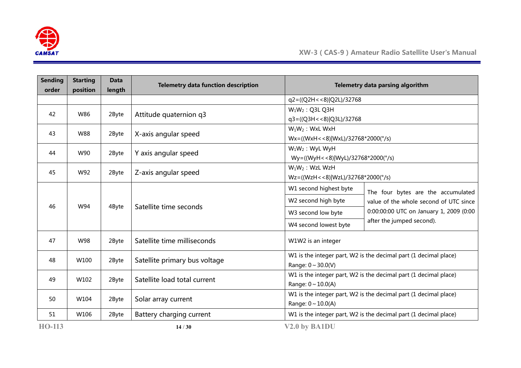

| <b>Sending</b><br>order | <b>Starting</b><br>position | <b>Data</b><br>length        | <b>Telemetry data function description</b>                                                   |                                         | Telemetry data parsing algorithm                                 |  |  |  |
|-------------------------|-----------------------------|------------------------------|----------------------------------------------------------------------------------------------|-----------------------------------------|------------------------------------------------------------------|--|--|--|
|                         |                             |                              |                                                                                              | q2=((Q2H < < 8) Q2L)/32768              |                                                                  |  |  |  |
| 42                      | W86                         | 2Byte                        | Attitude quaternion q3                                                                       | $W_1W_2$ : Q3L Q3H                      |                                                                  |  |  |  |
|                         |                             |                              |                                                                                              | q3=((Q3H < < 8) Q3L)/32768              |                                                                  |  |  |  |
| 43                      | <b>W88</b>                  | 2Byte                        | X-axis angular speed                                                                         | $W_1W_2$ : WxL WxH                      |                                                                  |  |  |  |
|                         |                             |                              |                                                                                              | $Wx = ((WxH < 8) WxL)/32768*2000(°/s))$ |                                                                  |  |  |  |
| 44                      | W90                         | 2Byte                        | Y axis angular speed                                                                         | $W_1W_2$ : WyL WyH                      |                                                                  |  |  |  |
|                         |                             |                              |                                                                                              | Wy=((WyH<<8) WyL)/32768*2000(°/s)       |                                                                  |  |  |  |
| 45                      | W92                         | 2Byte                        | Z-axis angular speed                                                                         | $W_1W_2$ : WzL WzH                      |                                                                  |  |  |  |
|                         |                             |                              |                                                                                              | Wz=((WzH < < 8)   WzL)/32768*2000(°/s)  |                                                                  |  |  |  |
|                         |                             |                              | Satellite time seconds                                                                       | W1 second highest byte                  | The four bytes are the accumulated                               |  |  |  |
| 46                      | W94                         | 4Byte                        |                                                                                              | W2 second high byte                     | value of the whole second of UTC since                           |  |  |  |
|                         |                             |                              |                                                                                              | W3 second low byte                      | 0:00:00:00 UTC on January 1, 2009 (0:00                          |  |  |  |
|                         |                             |                              |                                                                                              | W4 second lowest byte                   | after the jumped second).                                        |  |  |  |
| 47                      | W98                         | 2Byte                        | Satellite time milliseconds                                                                  | W1W2 is an integer                      |                                                                  |  |  |  |
| 48                      | W100                        | 2Byte                        | Satellite primary bus voltage                                                                |                                         | W1 is the integer part, W2 is the decimal part (1 decimal place) |  |  |  |
|                         |                             |                              |                                                                                              | Range: $0 \sim 30.0(V)$                 |                                                                  |  |  |  |
| 49                      |                             |                              | Satellite load total current                                                                 |                                         | W1 is the integer part, W2 is the decimal part (1 decimal place) |  |  |  |
|                         | W102<br>2Byte               |                              |                                                                                              | Range: $0 \sim 10.0(A)$                 |                                                                  |  |  |  |
| 50                      | W104                        |                              |                                                                                              |                                         | W1 is the integer part, W2 is the decimal part (1 decimal place) |  |  |  |
|                         |                             | 2Byte<br>Solar array current |                                                                                              | Range: $0 \sim 10.0(A)$                 |                                                                  |  |  |  |
| 51                      | W106                        | 2Byte                        | Battery charging current<br>W1 is the integer part, W2 is the decimal part (1 decimal place) |                                         |                                                                  |  |  |  |
| <b>HO-113</b>           |                             |                              | 14/30                                                                                        | V <sub>2.0</sub> by BA1DU               |                                                                  |  |  |  |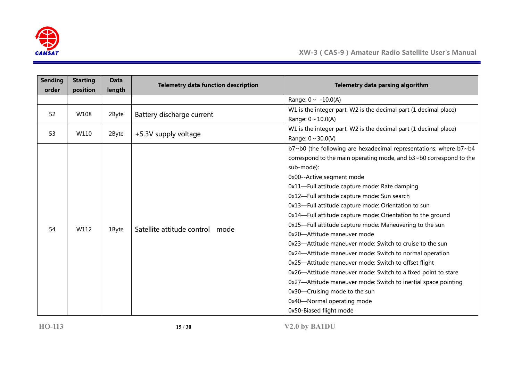

| <b>Sending</b> | <b>Starting</b> | <b>Data</b> | <b>Telemetry data function description</b> | Telemetry data parsing algorithm                                   |  |
|----------------|-----------------|-------------|--------------------------------------------|--------------------------------------------------------------------|--|
| order          | position        | length      |                                            |                                                                    |  |
|                |                 |             |                                            | Range: $0 \sim -10.0(A)$                                           |  |
| 52             | W108            | 2Byte       | Battery discharge current                  | W1 is the integer part, W2 is the decimal part (1 decimal place)   |  |
|                |                 |             |                                            | Range: $0 \sim 10.0(A)$                                            |  |
| 53             | W110            | 2Byte       |                                            | W1 is the integer part, W2 is the decimal part (1 decimal place)   |  |
|                |                 |             | +5.3V supply voltage                       | Range: $0 \sim 30.0(V)$                                            |  |
|                |                 |             |                                            | b7~b0 (the following are hexadecimal representations, where b7~b4  |  |
|                |                 |             |                                            | correspond to the main operating mode, and b3~b0 correspond to the |  |
|                |                 |             |                                            | sub-mode):                                                         |  |
|                |                 |             |                                            | 0x00--Active segment mode                                          |  |
|                |                 |             |                                            | 0x11-Full attitude capture mode: Rate damping                      |  |
|                |                 |             |                                            | 0x12-Full attitude capture mode: Sun search                        |  |
|                |                 |             |                                            | 0x13-Full attitude capture mode: Orientation to sun                |  |
|                |                 |             |                                            | 0x14-Full attitude capture mode: Orientation to the ground         |  |
| 54             | W112            |             | Satellite attitude control mode            | 0x15-Full attitude capture mode: Maneuvering to the sun            |  |
|                |                 | 1Byte       |                                            | 0x20-Attitude maneuver mode                                        |  |
|                |                 |             |                                            | 0x23—Attitude maneuver mode: Switch to cruise to the sun           |  |
|                |                 |             |                                            | 0x24-Attitude maneuver mode: Switch to normal operation            |  |
|                |                 |             |                                            | 0x25-Attitude maneuver mode: Switch to offset flight               |  |
|                |                 |             |                                            | 0x26-Attitude maneuver mode: Switch to a fixed point to stare      |  |
|                |                 |             |                                            | 0x27—Attitude maneuver mode: Switch to inertial space pointing     |  |
|                |                 |             |                                            | 0x30-Cruising mode to the sun                                      |  |
|                |                 |             |                                            | 0x40-Normal operating mode                                         |  |
|                |                 |             |                                            | 0x50-Biased flight mode                                            |  |

**HO-113 15** / **30 V2.0 by BA1DU**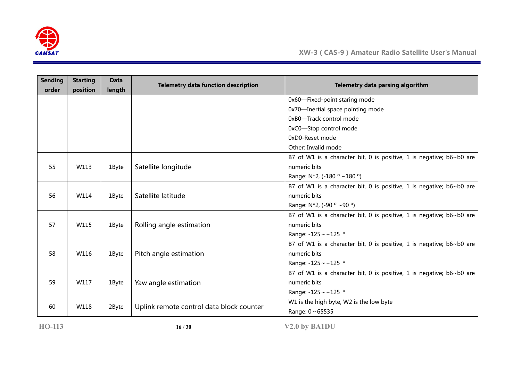

| <b>Sending</b><br>order | <b>Starting</b><br>position | <b>Data</b><br>length | <b>Telemetry data function description</b> | Telemetry data parsing algorithm                                     |
|-------------------------|-----------------------------|-----------------------|--------------------------------------------|----------------------------------------------------------------------|
|                         |                             |                       |                                            | 0x60-Fixed-point staring mode                                        |
|                         |                             |                       |                                            | 0x70-Inertial space pointing mode                                    |
|                         |                             |                       |                                            | 0xB0-Track control mode                                              |
|                         |                             |                       |                                            | 0xC0-Stop control mode                                               |
|                         |                             |                       |                                            | 0xD0-Reset mode                                                      |
|                         |                             |                       |                                            | Other: Invalid mode                                                  |
|                         |                             |                       |                                            | B7 of W1 is a character bit, 0 is positive, 1 is negative; b6~b0 are |
| 55                      | W113                        | 1Byte                 | Satellite longitude                        | numeric bits                                                         |
|                         |                             |                       |                                            | Range: N*2, (-180 ° ~180 °)                                          |
|                         |                             |                       |                                            | B7 of W1 is a character bit, 0 is positive, 1 is negative; b6~b0 are |
| 56                      | W114                        | 1Byte                 | Satellite latitude                         | numeric bits                                                         |
|                         |                             |                       |                                            | Range: N*2, (-90 ° ~90 °)                                            |
|                         |                             |                       |                                            | B7 of W1 is a character bit, 0 is positive, 1 is negative; b6~b0 are |
| 57                      | W115                        | 1Byte                 | Rolling angle estimation                   | numeric bits                                                         |
|                         |                             |                       |                                            | Range: -125 ~ +125 °                                                 |
|                         |                             |                       |                                            | B7 of W1 is a character bit, 0 is positive, 1 is negative; b6~b0 are |
| 58                      | W116                        | 1Byte                 | Pitch angle estimation                     | numeric bits                                                         |
|                         |                             |                       |                                            | Range: $-125 \sim +125$ °                                            |
|                         |                             |                       |                                            | B7 of W1 is a character bit, 0 is positive, 1 is negative; b6~b0 are |
| 59                      | W117                        | 1Byte                 | Yaw angle estimation                       | numeric bits                                                         |
|                         |                             |                       |                                            | Range: $-125 \sim +125$ °                                            |
| 60                      | W118                        | 2Byte                 | Uplink remote control data block counter   | W1 is the high byte, W2 is the low byte                              |
|                         |                             |                       |                                            | Range: 0~65535                                                       |

**HO-113 16** / **30 V2.0 by BA1DU**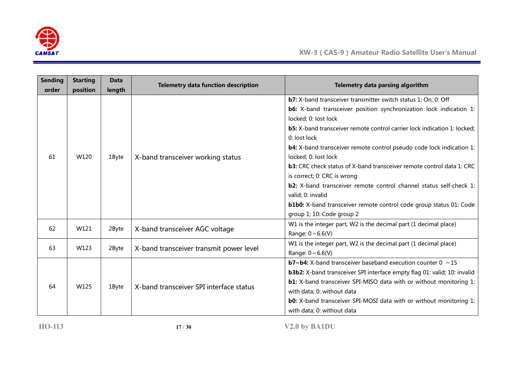

| <b>Sending</b> | <b>Starting</b> | <b>Data</b> | <b>Telemetry data function description</b>                                | Telemetry data parsing algorithm                                                |  |  |  |  |
|----------------|-----------------|-------------|---------------------------------------------------------------------------|---------------------------------------------------------------------------------|--|--|--|--|
| order          | position        | length      |                                                                           |                                                                                 |  |  |  |  |
|                |                 |             |                                                                           | <b>b7:</b> X-band transceiver transmitter switch status 1: On; 0: Off           |  |  |  |  |
|                |                 |             |                                                                           | <b>b6:</b> X-band transceiver position synchronization lock indication 1:       |  |  |  |  |
|                |                 |             |                                                                           | locked; 0: lost lock                                                            |  |  |  |  |
|                |                 |             |                                                                           | <b>b5:</b> X-band transceiver remote control carrier lock indication 1: locked; |  |  |  |  |
|                |                 |             |                                                                           | 0: lost lock                                                                    |  |  |  |  |
|                |                 |             |                                                                           | <b>b4:</b> X-band transceiver remote control pseudo code lock indication 1:     |  |  |  |  |
| 61             | W120            | 1Byte       | X-band transceiver working status                                         | locked; 0: lost lock                                                            |  |  |  |  |
|                |                 |             |                                                                           | <b>b3:</b> CRC check status of X-band transceiver remote control data 1: CRC    |  |  |  |  |
|                |                 |             |                                                                           | is correct; 0: CRC is wrong                                                     |  |  |  |  |
|                |                 |             |                                                                           | <b>b2:</b> X-band transceiver remote control channel status self-check 1:       |  |  |  |  |
|                |                 |             |                                                                           | valid; 0: invalid                                                               |  |  |  |  |
|                |                 |             | <b>b1b0:</b> X-band transceiver remote control code group status 01: Code |                                                                                 |  |  |  |  |
|                |                 |             |                                                                           | group 1; 10: Code group 2                                                       |  |  |  |  |
|                |                 |             |                                                                           | W1 is the integer part, W2 is the decimal part (1 decimal place)                |  |  |  |  |
| 62             | W121            | 2Byte       | X-band transceiver AGC voltage                                            | Range: $0 \sim 6.6(V)$                                                          |  |  |  |  |
|                |                 |             |                                                                           | W1 is the integer part, W2 is the decimal part (1 decimal place)                |  |  |  |  |
| 63             | W123            | 2Byte       | X-band transceiver transmit power level                                   | Range: $0 \sim 6.6(V)$                                                          |  |  |  |  |
|                |                 |             |                                                                           | <b>b7~b4:</b> X-band transceiver baseband execution counter $0 \sim 15$         |  |  |  |  |
|                |                 |             |                                                                           | <b>b3b2:</b> X-band transceiver SPI interface empty flag 01: valid; 10: invalid |  |  |  |  |
|                | W125            |             | X-band transceiver SPI interface status                                   | <b>b1:</b> X-band transceiver SPI-MISO data with or without monitoring 1:       |  |  |  |  |
| 64             |                 | 1Byte       |                                                                           | with data; 0: without data                                                      |  |  |  |  |
|                |                 |             |                                                                           | <b>b0:</b> X-band transceiver SPI-MOSI data with or without monitoring 1:       |  |  |  |  |
|                |                 |             |                                                                           | with data; 0: without data                                                      |  |  |  |  |

**HO-113 17** / **30 V2.0 by BA1DU**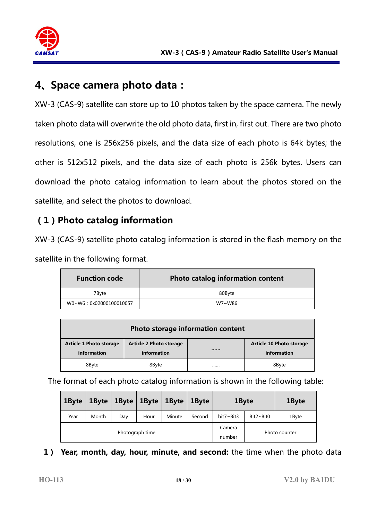

## **4、Space camera photo data:**

XW-3 (CAS-9) satellite can store up to 10 photos taken by the space camera. The newly taken photo data will overwrite the old photo data, first in, first out. There are two photo resolutions, one is 256x256 pixels, and the data size of each photo is 64k bytes; the other is 512x512 pixels, and the data size of each photo is 256k bytes. Users can download the photo catalog information to learn about the photos stored on the satellite, and select the photos to download.

## **(1)Photo catalog information**

XW-3 (CAS-9) satellite photo catalog information is stored in the flash memory on the satellite in the following format.

| <b>Function code</b>   | Photo catalog information content |
|------------------------|-----------------------------------|
| 7Bvte                  | 80Byte                            |
| W0~W6:0x02000100010057 | W7~W86                            |

| Photo storage information content                                                                                                             |       |  |       |  |  |  |  |  |  |  |  |
|-----------------------------------------------------------------------------------------------------------------------------------------------|-------|--|-------|--|--|--|--|--|--|--|--|
| <b>Article 2 Photo storage</b><br>Article 10 Photo storage<br><b>Article 1 Photo storage</b><br><br>information<br>information<br>information |       |  |       |  |  |  |  |  |  |  |  |
| 8Byte                                                                                                                                         | 8Byte |  | 8Byte |  |  |  |  |  |  |  |  |

The format of each photo catalog information is shown in the following table:

| 1Byte | 1Byte | 1Byte | $1$ Byte        | 1Byte  | 1Byte  | 1Byte         |                           | 1Byte |  |
|-------|-------|-------|-----------------|--------|--------|---------------|---------------------------|-------|--|
| Year  | Month | Day   | Hour            | Minute | Second | bit7~Bit3     | $Bit2~\sim$ Bit0<br>1Byte |       |  |
|       |       |       | Photograph time |        | Camera | Photo counter |                           |       |  |
|       |       |       |                 |        | number |               |                           |       |  |

#### **1) Year, month, day, hour, minute, and second:** the time when the photo data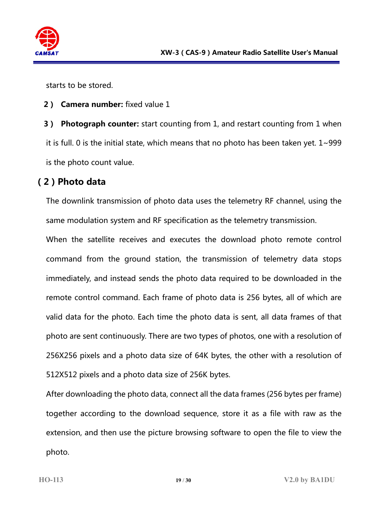

starts to be stored.

#### **2) Camera number:** fixed value 1

**3) Photograph counter:** start counting from 1, and restart counting from 1 when it is full. 0 is the initial state, which means that no photo has been taken yet.  $1 \sim 999$ is the photo count value.

### **(2)Photo data**

The downlink transmission of photo data uses the telemetry RF channel, using the same modulation system and RF specification as the telemetry transmission.

When the satellite receives and executes the download photo remote control command from the ground station, the transmission of telemetry data stops immediately, and instead sends the photo data required to be downloaded in the remote control command. Each frame of photo data is 256 bytes, all of which are valid data for the photo. Each time the photo data is sent, all data frames of that photo are sent continuously. There are two types of photos, one with a resolution of 256X256 pixels and a photo data size of 64K bytes, the other with a resolution of 512X512 pixels and a photo data size of 256K bytes.

After downloading the photo data, connect all the data frames (256 bytes per frame) together according to the download sequence, store it as a file with raw as the extension, and then use the picture browsing software to open the file to view the photo.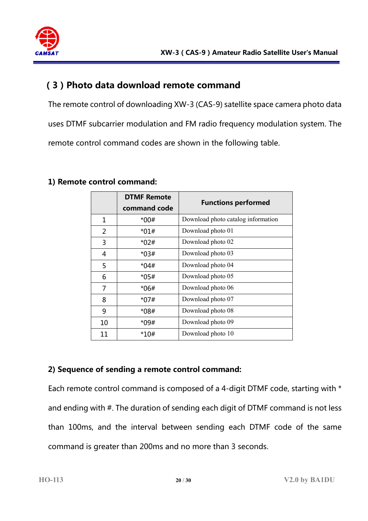

#### **(3)Photo data download remote command**

The remote control of downloading XW-3 (CAS-9) satellite space camera photo data uses DTMF subcarrier modulation and FM radio frequency modulation system. The remote control command codes are shown in the following table.

|    | <b>DTMF Remote</b> | <b>Functions performed</b>         |
|----|--------------------|------------------------------------|
|    | command code       |                                    |
| 1  | $*00#$             | Download photo catalog information |
| 2  | *01#               | Download photo 01                  |
| 3  | *02#               | Download photo 02                  |
| 4  | *03#               | Download photo 03                  |
| 5  | $*04#$             | Download photo 04                  |
| 6  | *05#               | Download photo 05                  |
| 7  | *06#               | Download photo 06                  |
| 8  | *07#               | Download photo 07                  |
| 9  | *08#               | Download photo 08                  |
| 10 | *09#               | Download photo 09                  |
| 11 | $*10#$             | Download photo 10                  |

#### **1) Remote control command:**

#### **2) Sequence of sending a remote control command:**

Each remote control command is composed of a 4-digit DTMF code, starting with \* and ending with #. The duration of sending each digit of DTMF command is not less than 100ms, and the interval between sending each DTMF code of the same command is greater than 200ms and no more than 3 seconds.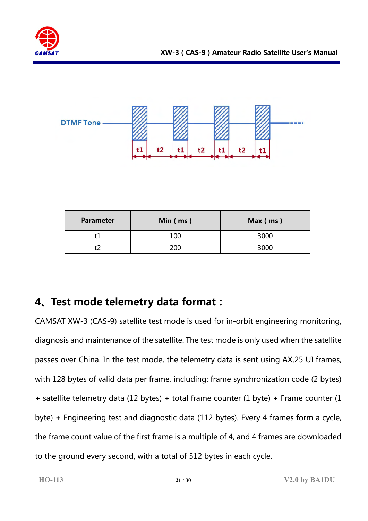



| <b>Parameter</b> | Min $(ms)$ | Max (ms) |
|------------------|------------|----------|
|                  | 100        | 3000     |
|                  | 200        | 3000     |

## **4、Test mode telemetry data format:**

CAMSAT XW-3 (CAS-9) satellite test mode is used for in-orbit engineering monitoring, diagnosis and maintenance of the satellite. The test mode is only used when the satellite passes over China. In the test mode, the telemetry data is sent using AX.25 UI frames, with 128 bytes of valid data per frame, including: frame synchronization code (2 bytes) + satellite telemetry data (12 bytes) + total frame counter (1 byte) + Frame counter (1 byte) + Engineering test and diagnostic data (112 bytes). Every 4 frames form a cycle, the frame count value of the first frame is a multiple of 4, and 4 frames are downloaded to the ground every second, with a total of 512 bytes in each cycle.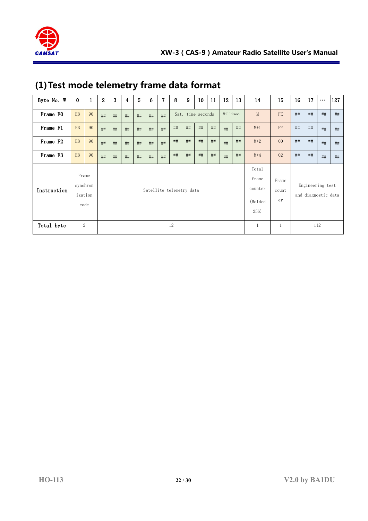

| Byte No. W  | $\bf{0}$         | $\mathbf{1}$     | $\overline{2}$ | 3                        | 4  | 5  | 6  | 7  | 8  | 9                                            | 10 <sup>°</sup>      | 11 | 12                                      | 13 | 14    | 15             | 16 | 17 | $\bullet\bullet\bullet$ | 127 |
|-------------|------------------|------------------|----------------|--------------------------|----|----|----|----|----|----------------------------------------------|----------------------|----|-----------------------------------------|----|-------|----------------|----|----|-------------------------|-----|
| Frame FO    | EB               | 90               | ##             | ##                       | ## | ## | ## | ## |    |                                              | Sat. time seconds    |    | Millisec.                               |    | M     | FE             | ## | ## | ##                      | ##  |
| Frame F1    | EB               | 90               | ##             | ##                       | ## | ## | ## | ## | ## | ##                                           | ##                   | ## | ##                                      | ## | $M+1$ | FF             | ## | ## | ##                      | ##  |
| Frame F2    | EB               | 90               | ##             | ##                       | ## | ## | ## | ## | ## | ##                                           | ##                   | ## | ##                                      | ## | $M+2$ | 0 <sup>0</sup> | ## | ## | ##                      | ##  |
| Frame F3    | EB               | 90               | ##             | ##                       | ## | ## | ## | ## | ## | ##                                           | ##                   | ## | ##                                      | ## | $M+4$ | 02             | ## | ## | ##                      | ##  |
| Instruction | Frame<br>ization | synchron<br>code |                | Satellite telemetry data |    |    |    |    |    | Total<br>frame<br>counter<br>(Molded<br>256) | Frame<br>count<br>er |    | Engineering test<br>and diagnostic data |    |       |                |    |    |                         |     |
| Total byte  |                  | 2                |                | 12                       |    |    |    |    |    |                                              | $\mathbf{1}$         | 1  |                                         |    | 112   |                |    |    |                         |     |

## **(1)Test mode telemetry frame data format**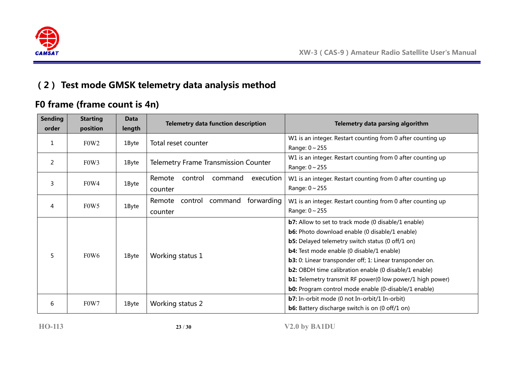

## **(2) Test mode GMSK telemetry data analysis method**

## **F0 frame (frame count is 4n)**

| <b>Sending</b><br>order | <b>Starting</b><br>position   | <b>Data</b><br>length | <b>Telemetry data function description</b>            | Telemetry data parsing algorithm                                                                                                                                                                                                                                                                                                                                                                                                                                                                         |  |  |
|-------------------------|-------------------------------|-----------------------|-------------------------------------------------------|----------------------------------------------------------------------------------------------------------------------------------------------------------------------------------------------------------------------------------------------------------------------------------------------------------------------------------------------------------------------------------------------------------------------------------------------------------------------------------------------------------|--|--|
| 1                       | F <sub>0</sub> W <sub>2</sub> | 1Byte                 | Total reset counter                                   | W1 is an integer. Restart counting from 0 after counting up<br>Range: $0 \sim 255$                                                                                                                                                                                                                                                                                                                                                                                                                       |  |  |
| 2                       | F <sub>0</sub> W <sub>3</sub> | 1Byte                 | <b>Telemetry Frame Transmission Counter</b>           | W1 is an integer. Restart counting from 0 after counting up<br>Range: $0 \sim 255$                                                                                                                                                                                                                                                                                                                                                                                                                       |  |  |
| 3                       | F <sub>0</sub> W <sub>4</sub> | 1Byte                 | Remote<br>control<br>command<br>execution<br>counter  | W1 is an integer. Restart counting from 0 after counting up<br>Range: $0 \sim 255$                                                                                                                                                                                                                                                                                                                                                                                                                       |  |  |
| 4                       | F <sub>0</sub> W <sub>5</sub> | 1Byte                 | forwarding<br>control<br>command<br>Remote<br>counter | W1 is an integer. Restart counting from 0 after counting up<br>Range: $0 \sim 255$                                                                                                                                                                                                                                                                                                                                                                                                                       |  |  |
| 5                       | F <sub>0</sub> W <sub>6</sub> | 1Byte                 | Working status 1                                      | <b>b7:</b> Allow to set to track mode (0 disable/1 enable)<br><b>b6:</b> Photo download enable (0 disable/1 enable)<br><b>b5:</b> Delayed telemetry switch status (0 off/1 on)<br><b>b4:</b> Test mode enable (0 disable/1 enable)<br><b>b3:</b> 0: Linear transponder off; 1: Linear transponder on.<br><b>b2:</b> OBDH time calibration enable (0 disable/1 enable)<br><b>b1:</b> Telemetry transmit RF power(0 low power/1 high power)<br><b>b0:</b> Program control mode enable (0-disable/1 enable) |  |  |
| 6                       | F <sub>0</sub> W <sub>7</sub> | 1Byte                 | Working status 2                                      | <b>b7:</b> In-orbit mode (0 not In-orbit/1 In-orbit)<br><b>b6:</b> Battery discharge switch is on (0 off/1 on)                                                                                                                                                                                                                                                                                                                                                                                           |  |  |

**HO-113 23** / **30 V2.0 by BA1DU**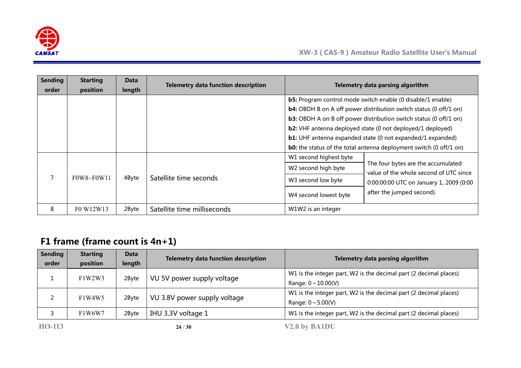

| <b>Sending</b><br>order | <b>Starting</b><br>position | Data<br>length | <b>Telemetry data function description</b> | Telemetry data parsing algorithm              |                                                                                                                                                                                                                                                                                                                                                                                                                                                   |  |  |  |
|-------------------------|-----------------------------|----------------|--------------------------------------------|-----------------------------------------------|---------------------------------------------------------------------------------------------------------------------------------------------------------------------------------------------------------------------------------------------------------------------------------------------------------------------------------------------------------------------------------------------------------------------------------------------------|--|--|--|
|                         |                             |                |                                            |                                               | <b>b5:</b> Program control mode switch enable (0 disable/1 enable)<br><b>b4:</b> OBDH B on A off power distribution switch status (0 off/1 on)<br><b>b3:</b> OBDH A on B off power distribution switch status (0 off/1 on)<br><b>b2:</b> VHF antenna deployed state (0 not deployed/1 deployed)<br><b>b1:</b> UHF antenna expanded state (0 not expanded/1 expanded)<br><b>b0:</b> the status of the total antenna deployment switch (0 off/1 on) |  |  |  |
|                         |                             |                |                                            | W1 second highest byte<br>W2 second high byte | The four bytes are the accumulated                                                                                                                                                                                                                                                                                                                                                                                                                |  |  |  |
|                         | $F0W8 \sim F0W11$           | 4Byte          | Satellite time seconds                     | W3 second low byte                            | value of the whole second of UTC since<br>0:00:00:00 UTC on January 1, 2009 (0:00                                                                                                                                                                                                                                                                                                                                                                 |  |  |  |
|                         |                             |                |                                            | W4 second lowest byte                         | after the jumped second).                                                                                                                                                                                                                                                                                                                                                                                                                         |  |  |  |
| 8                       | F0 W12W13                   | 2Byte          | Satellite time milliseconds                | W1W2 is an integer                            |                                                                                                                                                                                                                                                                                                                                                                                                                                                   |  |  |  |

## **F1 frame (frame count is 4n+1)**

| Sending | <b>Starting</b> | <b>Data</b> | <b>Telemetry data function description</b> | Telemetry data parsing algorithm                                  |
|---------|-----------------|-------------|--------------------------------------------|-------------------------------------------------------------------|
| order   | position        | length      |                                            |                                                                   |
|         | F1W2W3          |             |                                            | W1 is the integer part, W2 is the decimal part (2 decimal places) |
|         |                 | 2Byte       | VU 5V power supply voltage                 | Range: $0 \sim 10.00(V)$                                          |
|         |                 |             |                                            | W1 is the integer part, W2 is the decimal part (2 decimal places) |
|         | F1W4W5          | 2Byte       | VU 3.8V power supply voltage               | Range: $0 \sim 5.00(V)$                                           |
|         | F1W6W7          | 2Byte       | IHU 3.3V voltage 1                         | W1 is the integer part, W2 is the decimal part (2 decimal places) |
| HO-113  |                 |             | 24/30                                      | V2.0 by BA1DU                                                     |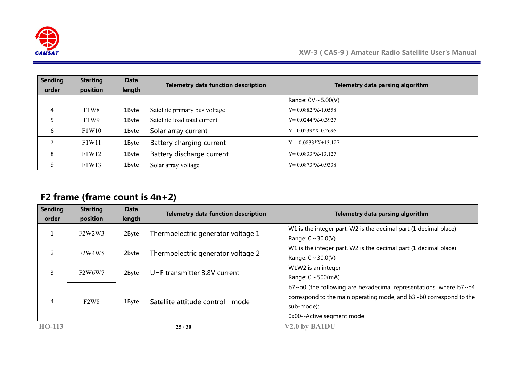

| <b>Sending</b> | <b>Starting</b> | Data   | <b>Telemetry data function description</b> | Telemetry data parsing algorithm |
|----------------|-----------------|--------|--------------------------------------------|----------------------------------|
| order          | position        | length |                                            |                                  |
|                |                 |        |                                            | Range: $0V \sim 5.00(V)$         |
| 4              | F1W8            | 1Byte  | Satellite primary bus voltage              | $Y=0.0882*X-1.0558$              |
|                | F1W9            | 1Byte  | Satellite load total current               | $Y=0.0244*X-0.3927$              |
| 6              | F1W10           | 1Byte  | Solar array current                        | $Y=0.0239*X-0.2696$              |
|                | F1W11           | 1Byte  | Battery charging current                   | $Y = -0.0833 \times 13.127$      |
| 8              | F1W12           | 1Byte  | Battery discharge current                  | $Y=0.0833*X-13.127$              |
| 9              | F1W13           | 1Byte  | Solar array voltage                        | $Y=0.0873*X-0.9338$              |

## **F2 frame (frame count is 4n+2)**

| <b>Sending</b><br>order | <b>Starting</b><br>position                  | <b>Data</b><br>length | <b>Telemetry data function description</b> | Telemetry data parsing algorithm                                                                                                                                                   |
|-------------------------|----------------------------------------------|-----------------------|--------------------------------------------|------------------------------------------------------------------------------------------------------------------------------------------------------------------------------------|
| T                       | F2W2W3                                       | 2Byte                 | Thermoelectric generator voltage 1         | W1 is the integer part, W2 is the decimal part (1 decimal place)<br>Range: $0 \sim 30.0(V)$                                                                                        |
| 2                       | F <sub>2</sub> W <sub>4</sub> W <sub>5</sub> | 2Byte                 | Thermoelectric generator voltage 2         | W1 is the integer part, W2 is the decimal part (1 decimal place)<br>Range: $0 \sim 30.0(V)$                                                                                        |
| 3                       | F <sub>2</sub> W6W7                          | 2Byte                 | UHF transmitter 3.8V current               | W1W2 is an integer<br>Range: $0 \sim 500$ (mA)                                                                                                                                     |
| 4                       | F <sub>2</sub> W <sub>8</sub>                | 1Byte                 | Satellite attitude control<br>mode         | b7~b0 (the following are hexadecimal representations, where b7~b4<br>correspond to the main operating mode, and b3~b0 correspond to the<br>sub-mode):<br>0x00--Active segment mode |
| HO-113                  |                                              |                       | 25/30                                      | V2.0 by BA1DU                                                                                                                                                                      |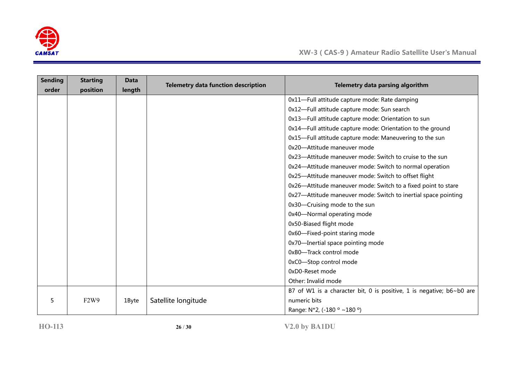

| <b>Sending</b><br>order | <b>Starting</b><br>position   | <b>Data</b><br>length | <b>Telemetry data function description</b> | Telemetry data parsing algorithm                                     |
|-------------------------|-------------------------------|-----------------------|--------------------------------------------|----------------------------------------------------------------------|
|                         |                               |                       |                                            | 0x11-Full attitude capture mode: Rate damping                        |
|                         |                               |                       |                                            | 0x12-Full attitude capture mode: Sun search                          |
|                         |                               |                       |                                            | 0x13-Full attitude capture mode: Orientation to sun                  |
|                         |                               |                       |                                            | 0x14-Full attitude capture mode: Orientation to the ground           |
|                         |                               |                       |                                            | 0x15-Full attitude capture mode: Maneuvering to the sun              |
|                         |                               |                       |                                            | 0x20-Attitude maneuver mode                                          |
|                         |                               |                       |                                            | 0x23-Attitude maneuver mode: Switch to cruise to the sun             |
|                         |                               |                       |                                            | 0x24-Attitude maneuver mode: Switch to normal operation              |
|                         |                               |                       |                                            | 0x25-Attitude maneuver mode: Switch to offset flight                 |
|                         |                               |                       |                                            | 0x26—Attitude maneuver mode: Switch to a fixed point to stare        |
|                         |                               |                       |                                            | 0x27-Attitude maneuver mode: Switch to inertial space pointing       |
|                         |                               |                       |                                            | 0x30-Cruising mode to the sun                                        |
|                         |                               |                       |                                            | 0x40-Normal operating mode                                           |
|                         |                               |                       |                                            | 0x50-Biased flight mode                                              |
|                         |                               |                       |                                            | 0x60-Fixed-point staring mode                                        |
|                         |                               |                       |                                            | 0x70-Inertial space pointing mode                                    |
|                         |                               |                       |                                            | 0xB0-Track control mode                                              |
|                         |                               |                       |                                            | 0xC0-Stop control mode                                               |
|                         |                               |                       |                                            | 0xD0-Reset mode                                                      |
|                         |                               |                       |                                            | Other: Invalid mode                                                  |
|                         |                               |                       |                                            | B7 of W1 is a character bit, 0 is positive, 1 is negative; b6~b0 are |
| 5                       | F <sub>2</sub> W <sub>9</sub> | 1Byte                 | Satellite longitude                        | numeric bits                                                         |
|                         |                               |                       |                                            | Range: N*2, (-180 ° ~180 °)                                          |

**HO-113 26** / **30 V2.0 by BA1DU**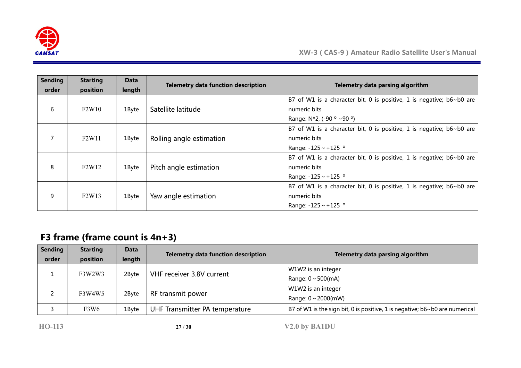

| <b>Sending</b><br>order | <b>Starting</b><br>position    | <b>Data</b><br>length | <b>Telemetry data function description</b> | Telemetry data parsing algorithm                                            |
|-------------------------|--------------------------------|-----------------------|--------------------------------------------|-----------------------------------------------------------------------------|
|                         |                                |                       |                                            | B7 of W1 is a character bit, 0 is positive, 1 is negative; b6~b0 are        |
| 6                       | F2W10                          | 1Byte                 | Satellite latitude                         | numeric bits                                                                |
|                         |                                |                       |                                            | Range: $N*2$ , (-90 $\circ$ ~90 $\circ$ )                                   |
|                         |                                |                       |                                            | B7 of W1 is a character bit, 0 is positive, 1 is negative; b6~b0 are        |
| $\overline{7}$          | F <sub>2</sub> W <sub>11</sub> | 1Byte                 | Rolling angle estimation                   | numeric bits                                                                |
|                         |                                |                       |                                            | Range: $-125 \sim +125$ °                                                   |
|                         |                                |                       |                                            | B7 of W1 is a character bit, 0 is positive, 1 is negative; $b6 \sim b0$ are |
| 8                       | F <sub>2</sub> W <sub>12</sub> | 1Byte                 | Pitch angle estimation                     | numeric bits                                                                |
|                         |                                |                       |                                            | Range: $-125 \sim +125$ °                                                   |
| 9                       | F2W13                          | 1Byte                 | Yaw angle estimation                       | B7 of W1 is a character bit, 0 is positive, 1 is negative; b6~b0 are        |
|                         |                                |                       |                                            | numeric bits                                                                |
|                         |                                |                       |                                            | Range: $-125 \sim +125$ °                                                   |

## **F3 frame (frame count is 4n+3)**

| <b>Sending</b> | <b>Starting</b>               | <b>Data</b> | <b>Telemetry data function description</b> | Telemetry data parsing algorithm                                            |
|----------------|-------------------------------|-------------|--------------------------------------------|-----------------------------------------------------------------------------|
| order          | position                      | length      |                                            |                                                                             |
|                | F3W2W3                        | 2Byte       | VHF receiver 3.8V current                  | W1W2 is an integer                                                          |
|                |                               |             |                                            | Range: $0 \sim 500$ (mA)                                                    |
|                | F3W4W5                        | 2Byte       | RF transmit power                          | W1W2 is an integer                                                          |
|                |                               |             |                                            | Range: $0 \sim 2000$ (mW)                                                   |
|                | F <sub>3</sub> W <sub>6</sub> | 1Byte       | UHF Transmitter PA temperature             | B7 of W1 is the sign bit, 0 is positive, 1 is negative; b6~b0 are numerical |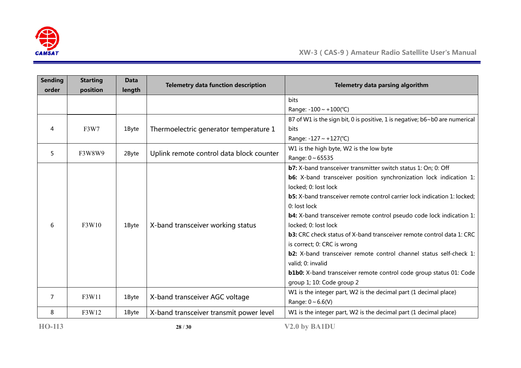

| <b>Sending</b><br>order | <b>Starting</b><br>position | <b>Data</b><br>length | <b>Telemetry data function description</b> | Telemetry data parsing algorithm                                                |
|-------------------------|-----------------------------|-----------------------|--------------------------------------------|---------------------------------------------------------------------------------|
|                         |                             |                       |                                            | <b>bits</b>                                                                     |
|                         |                             |                       |                                            | Range: $-100 \sim +100$ (°C)                                                    |
|                         |                             |                       |                                            | B7 of W1 is the sign bit, 0 is positive, 1 is negative; b6~b0 are numerical     |
| 4                       | <b>F3W7</b>                 | 1Byte                 | Thermoelectric generator temperature 1     | <b>bits</b>                                                                     |
|                         |                             |                       |                                            | Range: $-127 \sim +127$ (°C)                                                    |
| 5                       | F3W8W9                      | 2Byte                 |                                            | W1 is the high byte, W2 is the low byte                                         |
|                         |                             |                       | Uplink remote control data block counter   | Range: $0 \sim 65535$                                                           |
|                         |                             |                       | X-band transceiver working status          | <b>b7:</b> X-band transceiver transmitter switch status 1: On; 0: Off           |
|                         |                             | 1Byte                 |                                            | b6: X-band transceiver position synchronization lock indication 1:              |
|                         | F3W10                       |                       |                                            | locked; 0: lost lock                                                            |
|                         |                             |                       |                                            | <b>b5:</b> X-band transceiver remote control carrier lock indication 1: locked; |
| 6                       |                             |                       |                                            | 0: lost lock                                                                    |
|                         |                             |                       |                                            | <b>b4:</b> X-band transceiver remote control pseudo code lock indication 1:     |
|                         |                             |                       |                                            | locked; 0: lost lock                                                            |
|                         |                             |                       |                                            | <b>b3:</b> CRC check status of X-band transceiver remote control data 1: CRC    |
|                         |                             |                       |                                            | is correct; 0: CRC is wrong                                                     |
|                         |                             |                       |                                            | <b>b2:</b> X-band transceiver remote control channel status self-check 1:       |
|                         |                             |                       |                                            | valid; 0: invalid                                                               |
|                         |                             |                       |                                            | <b>b1b0:</b> X-band transceiver remote control code group status 01: Code       |
|                         |                             |                       |                                            | group 1; 10: Code group 2                                                       |
| 7                       | F3W11                       | 1Byte                 | X-band transceiver AGC voltage             | W1 is the integer part, W2 is the decimal part (1 decimal place)                |
|                         |                             |                       |                                            | Range: $0 \sim 6.6(V)$                                                          |
| 8                       | F3W12                       | 1Byte                 | X-band transceiver transmit power level    | W1 is the integer part, W2 is the decimal part (1 decimal place)                |